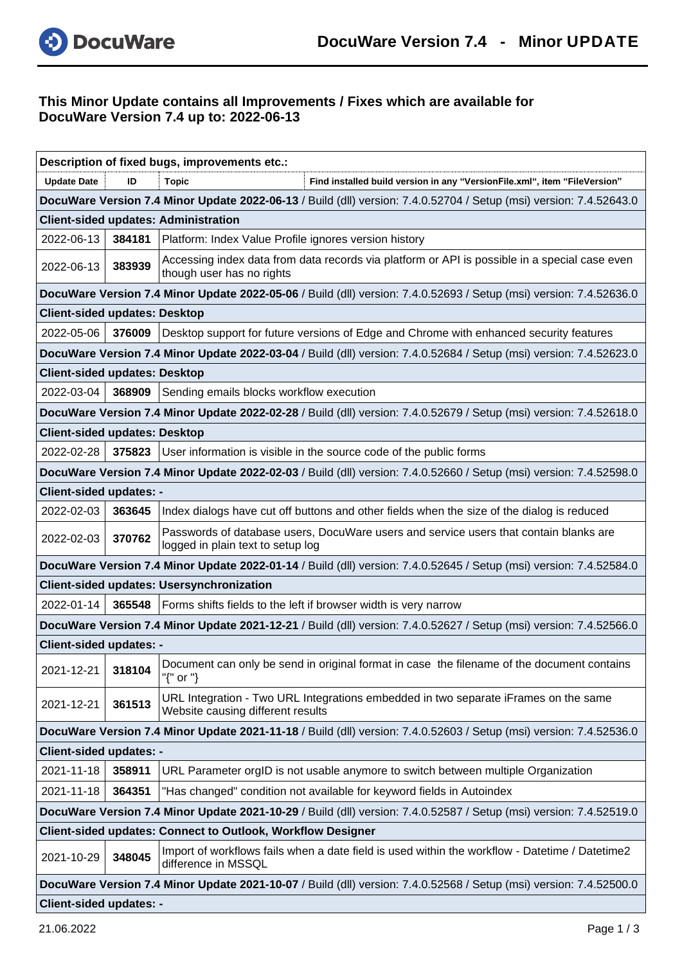

## **This Minor Update contains all Improvements / Fixes which are available for DocuWare Version 7.4 up to: 2022-06-13**

| Description of fixed bugs, improvements etc.:                                                                      |        |                                                                                                                            |  |  |  |
|--------------------------------------------------------------------------------------------------------------------|--------|----------------------------------------------------------------------------------------------------------------------------|--|--|--|
| <b>Update Date</b>                                                                                                 | ID     | <b>Topic</b><br>Find installed build version in any "VersionFile.xml", item "FileVersion"                                  |  |  |  |
|                                                                                                                    |        | DocuWare Version 7.4 Minor Update 2022-06-13 / Build (dll) version: 7.4.0.52704 / Setup (msi) version: 7.4.52643.0         |  |  |  |
|                                                                                                                    |        | <b>Client-sided updates: Administration</b>                                                                                |  |  |  |
| 2022-06-13                                                                                                         |        | 384181   Platform: Index Value Profile ignores version history                                                             |  |  |  |
| 2022-06-13                                                                                                         | 383939 | Accessing index data from data records via platform or API is possible in a special case even<br>though user has no rights |  |  |  |
| DocuWare Version 7.4 Minor Update 2022-05-06 / Build (dll) version: 7.4.0.52693 / Setup (msi) version: 7.4.52636.0 |        |                                                                                                                            |  |  |  |
| <b>Client-sided updates: Desktop</b>                                                                               |        |                                                                                                                            |  |  |  |
| 2022-05-06                                                                                                         | 376009 | Desktop support for future versions of Edge and Chrome with enhanced security features                                     |  |  |  |
|                                                                                                                    |        | DocuWare Version 7.4 Minor Update 2022-03-04 / Build (dll) version: 7.4.0.52684 / Setup (msi) version: 7.4.52623.0         |  |  |  |
| <b>Client-sided updates: Desktop</b>                                                                               |        |                                                                                                                            |  |  |  |
| 2022-03-04                                                                                                         | 368909 | Sending emails blocks workflow execution                                                                                   |  |  |  |
|                                                                                                                    |        | DocuWare Version 7.4 Minor Update 2022-02-28 / Build (dll) version: 7.4.0.52679 / Setup (msi) version: 7.4.52618.0         |  |  |  |
| <b>Client-sided updates: Desktop</b>                                                                               |        |                                                                                                                            |  |  |  |
| 2022-02-28                                                                                                         | 375823 | User information is visible in the source code of the public forms                                                         |  |  |  |
|                                                                                                                    |        | DocuWare Version 7.4 Minor Update 2022-02-03 / Build (dll) version: 7.4.0.52660 / Setup (msi) version: 7.4.52598.0         |  |  |  |
| <b>Client-sided updates: -</b>                                                                                     |        |                                                                                                                            |  |  |  |
| 2022-02-03                                                                                                         | 363645 | Index dialogs have cut off buttons and other fields when the size of the dialog is reduced                                 |  |  |  |
| 2022-02-03                                                                                                         | 370762 | Passwords of database users, DocuWare users and service users that contain blanks are<br>logged in plain text to setup log |  |  |  |
| DocuWare Version 7.4 Minor Update 2022-01-14 / Build (dll) version: 7.4.0.52645 / Setup (msi) version: 7.4.52584.0 |        |                                                                                                                            |  |  |  |
|                                                                                                                    |        | <b>Client-sided updates: Usersynchronization</b>                                                                           |  |  |  |
| 2022-01-14                                                                                                         | 365548 | Forms shifts fields to the left if browser width is very narrow                                                            |  |  |  |
| DocuWare Version 7.4 Minor Update 2021-12-21 / Build (dll) version: 7.4.0.52627 / Setup (msi) version: 7.4.52566.0 |        |                                                                                                                            |  |  |  |
| <b>Client-sided updates: -</b>                                                                                     |        |                                                                                                                            |  |  |  |
| 2021-12-21                                                                                                         | 318104 | Document can only be send in original format in case the filename of the document contains<br>"{" or "}                    |  |  |  |
| 2021-12-21                                                                                                         | 361513 | URL Integration - Two URL Integrations embedded in two separate iFrames on the same<br>Website causing different results   |  |  |  |
| DocuWare Version 7.4 Minor Update 2021-11-18 / Build (dll) version: 7.4.0.52603 / Setup (msi) version: 7.4.52536.0 |        |                                                                                                                            |  |  |  |
| <b>Client-sided updates: -</b>                                                                                     |        |                                                                                                                            |  |  |  |
| 2021-11-18                                                                                                         | 358911 | URL Parameter orgID is not usable anymore to switch between multiple Organization                                          |  |  |  |
| 2021-11-18                                                                                                         | 364351 | "Has changed" condition not available for keyword fields in Autoindex                                                      |  |  |  |
| DocuWare Version 7.4 Minor Update 2021-10-29 / Build (dll) version: 7.4.0.52587 / Setup (msi) version: 7.4.52519.0 |        |                                                                                                                            |  |  |  |
| <b>Client-sided updates: Connect to Outlook, Workflow Designer</b>                                                 |        |                                                                                                                            |  |  |  |
| 2021-10-29                                                                                                         | 348045 | Import of workflows fails when a date field is used within the workflow - Datetime / Datetime2<br>difference in MSSQL      |  |  |  |
| DocuWare Version 7.4 Minor Update 2021-10-07 / Build (dll) version: 7.4.0.52568 / Setup (msi) version: 7.4.52500.0 |        |                                                                                                                            |  |  |  |
| <b>Client-sided updates: -</b>                                                                                     |        |                                                                                                                            |  |  |  |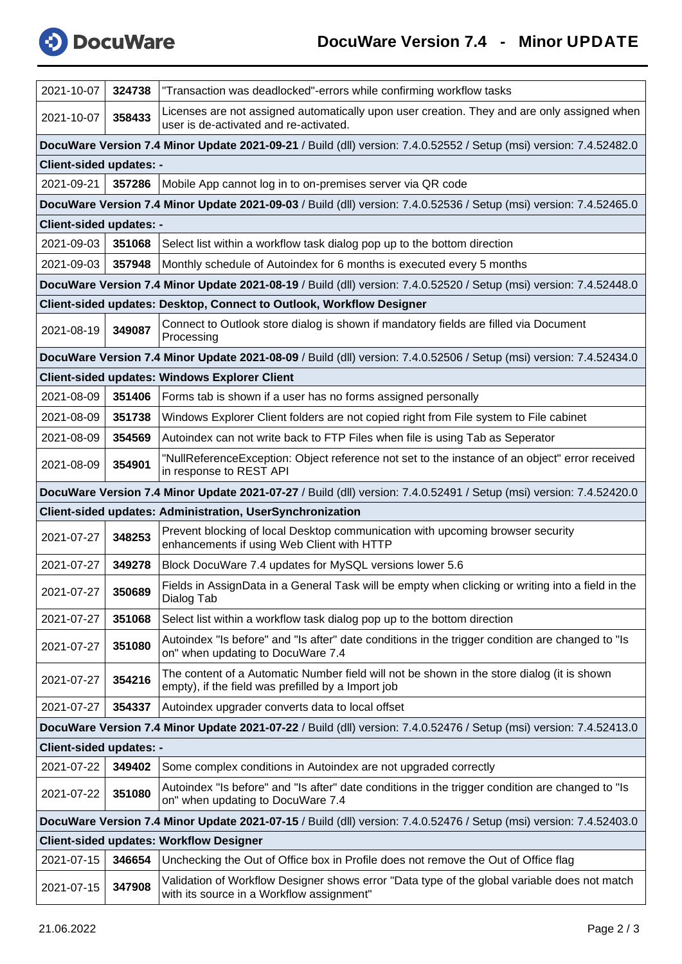

| 2021-10-07                                                                                                         | 324738 | "Transaction was deadlocked"-errors while confirming workflow tasks                                                                              |  |  |  |  |
|--------------------------------------------------------------------------------------------------------------------|--------|--------------------------------------------------------------------------------------------------------------------------------------------------|--|--|--|--|
| 2021-10-07                                                                                                         | 358433 | Licenses are not assigned automatically upon user creation. They and are only assigned when<br>user is de-activated and re-activated.            |  |  |  |  |
| DocuWare Version 7.4 Minor Update 2021-09-21 / Build (dll) version: 7.4.0.52552 / Setup (msi) version: 7.4.52482.0 |        |                                                                                                                                                  |  |  |  |  |
| <b>Client-sided updates: -</b>                                                                                     |        |                                                                                                                                                  |  |  |  |  |
| 2021-09-21                                                                                                         | 357286 | Mobile App cannot log in to on-premises server via QR code                                                                                       |  |  |  |  |
|                                                                                                                    |        | DocuWare Version 7.4 Minor Update 2021-09-03 / Build (dll) version: 7.4.0.52536 / Setup (msi) version: 7.4.52465.0                               |  |  |  |  |
| <b>Client-sided updates: -</b>                                                                                     |        |                                                                                                                                                  |  |  |  |  |
| 2021-09-03                                                                                                         | 351068 | Select list within a workflow task dialog pop up to the bottom direction                                                                         |  |  |  |  |
| 2021-09-03                                                                                                         | 357948 | Monthly schedule of Autoindex for 6 months is executed every 5 months                                                                            |  |  |  |  |
|                                                                                                                    |        | DocuWare Version 7.4 Minor Update 2021-08-19 / Build (dll) version: 7.4.0.52520 / Setup (msi) version: 7.4.52448.0                               |  |  |  |  |
|                                                                                                                    |        | Client-sided updates: Desktop, Connect to Outlook, Workflow Designer                                                                             |  |  |  |  |
| 2021-08-19                                                                                                         | 349087 | Connect to Outlook store dialog is shown if mandatory fields are filled via Document<br>Processing                                               |  |  |  |  |
|                                                                                                                    |        | DocuWare Version 7.4 Minor Update 2021-08-09 / Build (dll) version: 7.4.0.52506 / Setup (msi) version: 7.4.52434.0                               |  |  |  |  |
|                                                                                                                    |        | <b>Client-sided updates: Windows Explorer Client</b>                                                                                             |  |  |  |  |
| 2021-08-09                                                                                                         |        | 351406   Forms tab is shown if a user has no forms assigned personally                                                                           |  |  |  |  |
| 2021-08-09                                                                                                         | 351738 | Windows Explorer Client folders are not copied right from File system to File cabinet                                                            |  |  |  |  |
| 2021-08-09                                                                                                         | 354569 | Autoindex can not write back to FTP Files when file is using Tab as Seperator                                                                    |  |  |  |  |
| 2021-08-09                                                                                                         | 354901 | "NullReferenceException: Object reference not set to the instance of an object" error received<br>in response to REST API                        |  |  |  |  |
|                                                                                                                    |        | DocuWare Version 7.4 Minor Update 2021-07-27 / Build (dll) version: 7.4.0.52491 / Setup (msi) version: 7.4.52420.0                               |  |  |  |  |
|                                                                                                                    |        | Client-sided updates: Administration, UserSynchronization                                                                                        |  |  |  |  |
| 2021-07-27                                                                                                         | 348253 | Prevent blocking of local Desktop communication with upcoming browser security<br>enhancements if using Web Client with HTTP                     |  |  |  |  |
| 2021-07-27                                                                                                         | 349278 | Block DocuWare 7.4 updates for MySQL versions lower 5.6                                                                                          |  |  |  |  |
| 2021-07-27                                                                                                         | 350689 | Fields in AssignData in a General Task will be empty when clicking or writing into a field in the<br>Dialog Tab                                  |  |  |  |  |
| 2021-07-27                                                                                                         | 351068 | Select list within a workflow task dialog pop up to the bottom direction                                                                         |  |  |  |  |
| 2021-07-27                                                                                                         | 351080 | Autoindex "Is before" and "Is after" date conditions in the trigger condition are changed to "Is<br>on" when updating to DocuWare 7.4            |  |  |  |  |
| 2021-07-27                                                                                                         | 354216 | The content of a Automatic Number field will not be shown in the store dialog (it is shown<br>empty), if the field was prefilled by a Import job |  |  |  |  |
| 2021-07-27                                                                                                         | 354337 | Autoindex upgrader converts data to local offset                                                                                                 |  |  |  |  |
|                                                                                                                    |        | DocuWare Version 7.4 Minor Update 2021-07-22 / Build (dll) version: 7.4.0.52476 / Setup (msi) version: 7.4.52413.0                               |  |  |  |  |
| <b>Client-sided updates: -</b>                                                                                     |        |                                                                                                                                                  |  |  |  |  |
| 2021-07-22                                                                                                         | 349402 | Some complex conditions in Autoindex are not upgraded correctly                                                                                  |  |  |  |  |
| 2021-07-22                                                                                                         | 351080 | Autoindex "Is before" and "Is after" date conditions in the trigger condition are changed to "Is<br>on" when updating to DocuWare 7.4            |  |  |  |  |
| DocuWare Version 7.4 Minor Update 2021-07-15 / Build (dll) version: 7.4.0.52476 / Setup (msi) version: 7.4.52403.0 |        |                                                                                                                                                  |  |  |  |  |
| <b>Client-sided updates: Workflow Designer</b>                                                                     |        |                                                                                                                                                  |  |  |  |  |
| 2021-07-15                                                                                                         | 346654 | Unchecking the Out of Office box in Profile does not remove the Out of Office flag                                                               |  |  |  |  |
| 2021-07-15                                                                                                         | 347908 | Validation of Workflow Designer shows error "Data type of the global variable does not match<br>with its source in a Workflow assignment"        |  |  |  |  |